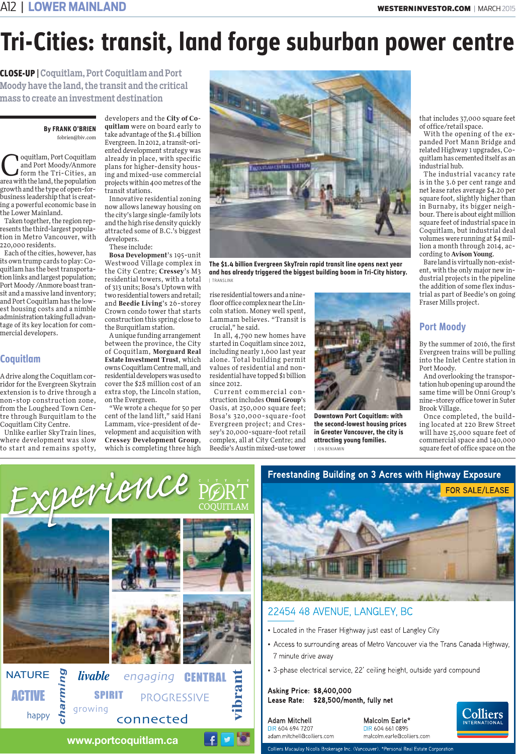## *Tri-Cities: transit, land forge suburban power centre*

CLOSE-UP | Coquitlam, Port Coquitlam and Port Moody have the land, the transit and the critical mass to create an investment destination

#### *By FRANK O'BRIEN*  fobrien@biv.com

oquitlam, Port Coquitlam and Port Moody/Anmore form the Tri-Cities, an area with the land, the population growth and the type of open-forbusiness leadership that is creating a powerful economic base in the Lower Mainland.

Taken together, the region represents the third-largest population in Metro Vancouver, with 220,000 residents.

Each of the cities, however, has its own trump cards to play: Coquitlam has the best transportation links and largest population; Port Moody /Anmore boast transit and a massive land inventory; and Port Coquitlam has the lowest housing costs and a nimble administration taking full advantage of its key location for commercial developers.

### *Coquitlam*

A drive along the Coquitlam corridor for the Evergreen Skytrain extension is to drive through a non-stop construction zone, from the Lougheed Town Centre through Burquitlam to the Coquitlam City Centre.

Unlike earlier SkyTrain lines, where development was slow to start and remains spotty, developers and the **City of Coquitlam** were on board early to take advantage of the \$1.4 billion Evergreen. In 2012, a transit-oriented development strategy was already in place, with specific plans for higher-density housing and mixed-use commercial projects within 400 metres of the transit stations.

Innovative residential zoning now allows laneway housing on the city's large single-family lots and the high rise density quickly attracted some of B.C.'s biggest developers.

These include:

**Bosa Development**'s 195-unit Westwood Village complex in the City Centre; **Cressey**'s M3 residential towers, with a total of 313 units; Bosa's Uptown with two residential towers and retail; and **Beedie Living**'s 26-storey Crown condo tower that starts construction this spring close to the Burquitlam station.

A unique funding arrangement between the province, the City of Coquitlam, **Morguard Real Estate Investment Trust**, which owns Coquitlam Centre mall, and residential developers was used to cover the \$28 million cost of an extra stop, the Lincoln station, on the Evergreen.

"We wrote a cheque for 50 per cent of the land lift," said Hani Lammam, vice-president of development and acquisition with **Cressey Development Group**, which is completing three high



*The \$1.4 billion Evergreen SkyTrain rapid transit line opens next year and has already triggered the biggest building boom in Tri-City history.*  | TRANSLINK

rise residential towers and a ninefloor office complex near the Lincoln station. Money well spent, Lammam believes. "Transit is crucial," he said.

In all, 4,790 new homes have started in Coquitlam since 2012, including nearly 1,600 last year alone. Total building permit values of residential and nonresidential have topped \$1 billion since 2012.

Current commercial construction includes **Onni Group**'s Oasis, at 250,000 square feet; Bosa's 320,000-square-foot Evergreen project; and Cressey's 20,000-square-foot retail complex, all at City Centre; and Beedie's Austin mixed-use tower



*Downtown Port Coquitlam: with the second-lowest housing prices in Greater Vancouver, the city is attracting young families.*  | JON BENJAMIN

that includes 37,000 square feet of office/retail space.

With the opening of the expanded Port Mann Bridge and related Highway 1 upgrades, Coquitlam has cemented itself as an industrial hub.

The industrial vacancy rate is in the 3.6 per cent range and net lease rates average \$4.20 per square foot, slightly higher than in Burnaby, its bigger neighbour. There is about eight million square feet of industrial space in Coquitlam, but industrial deal volumes were running at \$4 million a month through 2014, according to **Avison Young**.

Bare land is virtually non-existent, with the only major new industrial projects in the pipeline the addition of some flex industrial as part of Beedie's on going Fraser Mills project.

### *Port Moody*

By the summer of 2016, the first Evergreen trains will be pulling into the Inlet Centre station in Port Moody.

And overlooking the transportation hub opening up around the same time will be Onni Group's nine-storey office tower in Suter Brook Village.

Once completed, the building located at 220 Brew Street will have 25,000 square feet of commercial space and 140,000 square feet of office space on the

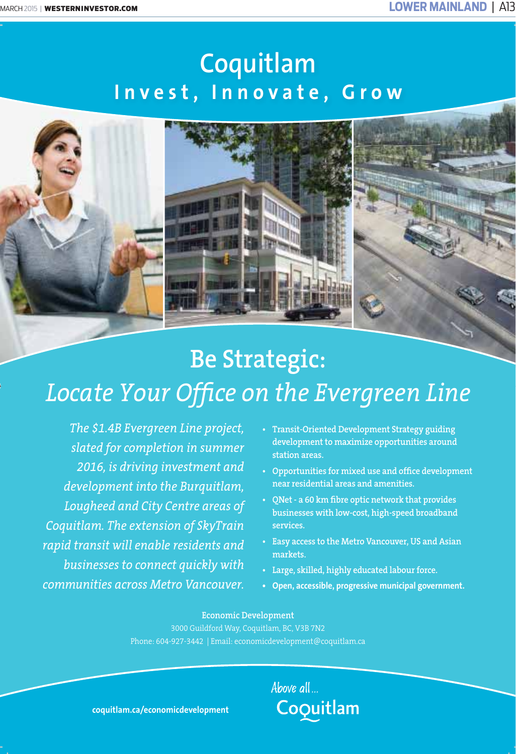# **Coquitlam Invest, Innovate, Grow**



# **Be Strategic:**  *Locate Your Office on the Evergreen Line*

*The \$1.4B Evergreen Line project, slated for completion in summer 2016, is driving investment and development into the Burquitlam, Lougheed and City Centre areas of Coquitlam. The extension of SkyTrain rapid transit will enable residents and businesses to connect quickly with communities across Metro Vancouver.* 

- **Transit-Oriented Development Strategy guiding development to maximize opportunities around station areas.**
- **Opportunities for mixed use and office development near residential areas and amenities.**
- **QNet a 60 km fibre optic network that provides businesses with low-cost, high-speed broadband services.**
- **Easy access to the Metro Vancouver, US and Asian markets.**
- **Large, skilled, highly educated labour force.**
- **Open, accessible, progressive municipal government.**

### **Economic Development**

3000 Guildford Way, Coquitlam, BC, V3B 7N2 Phone: 604-927-3442 | Email: economicdevelopment@coquitlam.ca

> Above all... Coquitlam

**coquitlam.ca/economicdevelopment**